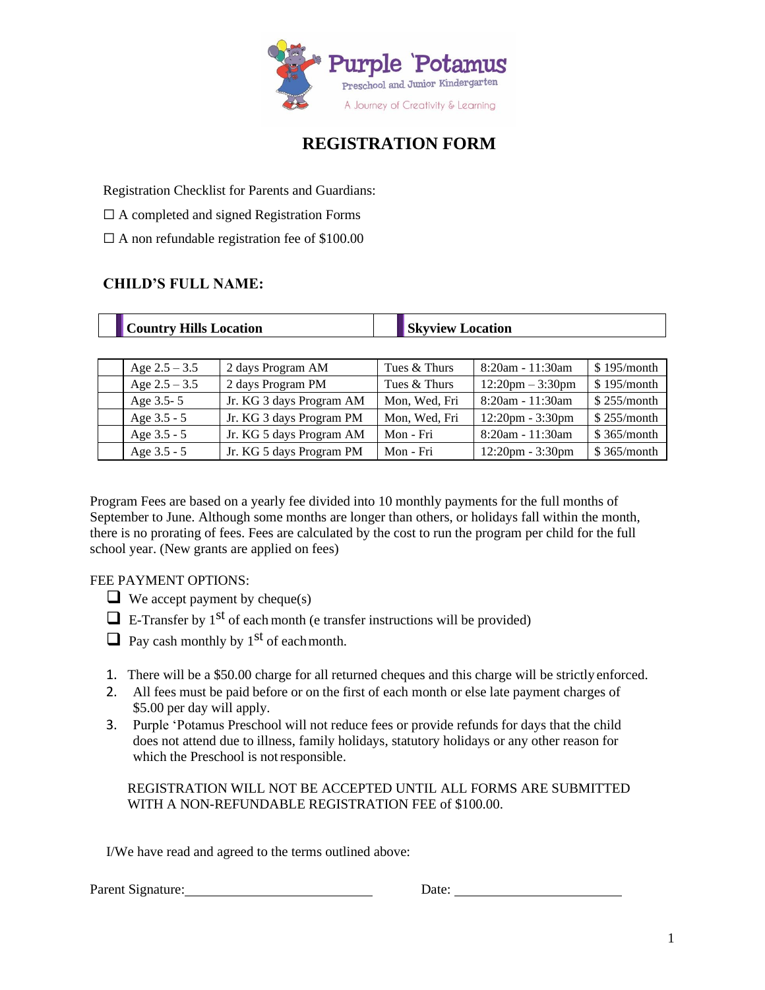

## **REGISTRATION FORM**

Registration Checklist for Parents and Guardians:

- $\Box$  A completed and signed Registration Forms
- $\Box$  A non refundable registration fee of \$100.00

## **CHILD'S FULL NAME:**

| <b>Country Hills Location</b> |                          | <b>Skyview Location</b> |                                    |             |
|-------------------------------|--------------------------|-------------------------|------------------------------------|-------------|
|                               |                          |                         |                                    |             |
| Age $2.5 - 3.5$               | 2 days Program AM        | Tues & Thurs            | $8:20am - 11:30am$                 | \$195/month |
| Age $2.5 - 3.5$               | 2 days Program PM        | Tues & Thurs            | $12:20$ pm $-3:30$ pm              | \$195/month |
| Age 3.5-5                     | Jr. KG 3 days Program AM | Mon, Wed, Fri           | 8:20am - 11:30am                   | \$255/month |
| Age 3.5 - 5                   | Jr. KG 3 days Program PM | Mon, Wed, Fri           | $12:20 \text{pm} - 3:30 \text{pm}$ | \$255/month |

Age 3.5 - 5 Jr. KG 5 days Program AM | Mon - Fri  $\begin{array}{|l|l|}\n8:20 \text{am} & -11:30 \text{am} & \text{$$365/month}\n\end{array}$ Age 3.5 - 5 Jr. KG 5 days Program PM | Mon - Fri |  $12:20 \text{pm}$  - 3:30pm | \$ 365/month

Program Fees are based on a yearly fee divided into 10 monthly payments for the full months of September to June. Although some months are longer than others, or holidays fall within the month, there is no prorating of fees. Fees are calculated by the cost to run the program per child for the full school year. (New grants are applied on fees)

### FEE PAYMENT OPTIONS:

- $\Box$  We accept payment by cheque(s)
- $\Box$  E-Transfer by 1<sup>st</sup> of each month (e transfer instructions will be provided)
- $\Box$  Pay cash monthly by 1<sup>st</sup> of each month.
- 1. There will be a \$50.00 charge for all returned cheques and this charge will be strictly enforced.
- 2. All fees must be paid before or on the first of each month or else late payment charges of \$5.00 per day will apply.
- 3. Purple 'Potamus Preschool will not reduce fees or provide refunds for days that the child does not attend due to illness, family holidays, statutory holidays or any other reason for which the Preschool is notresponsible.

REGISTRATION WILL NOT BE ACCEPTED UNTIL ALL FORMS ARE SUBMITTED WITH A NON-REFUNDABLE REGISTRATION FEE of \$100.00.

I/We have read and agreed to the terms outlined above:

Parent Signature: Date: Date: Date: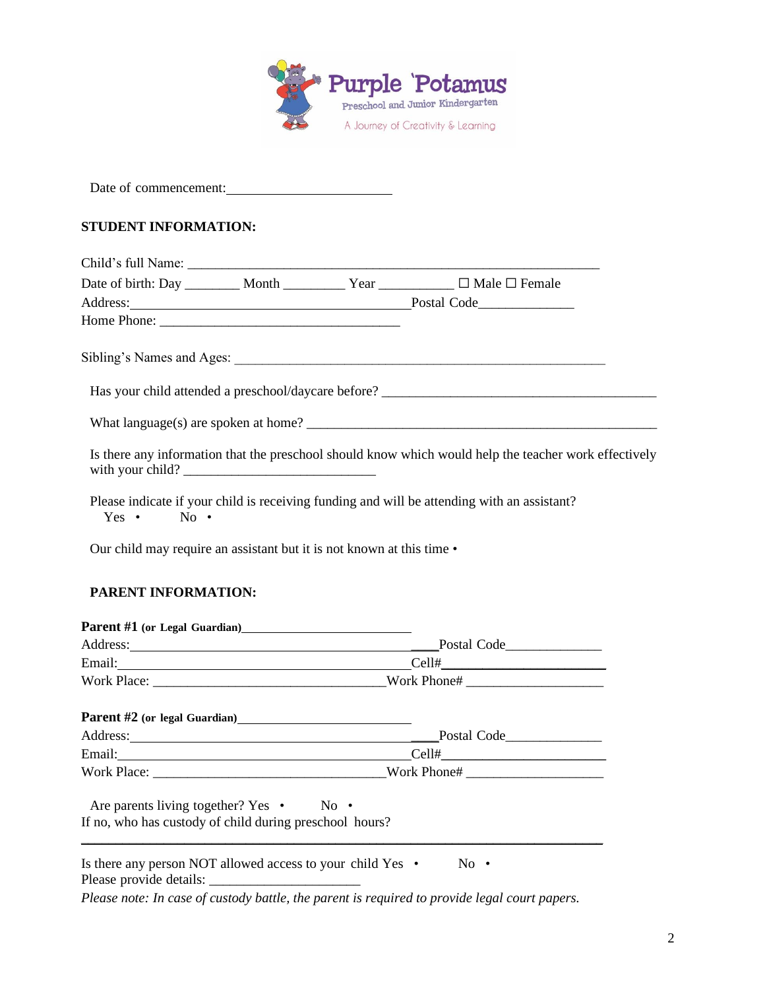

Date of commencement:

#### **STUDENT INFORMATION:**

|                                                                                                                                                                                                                                |  |  | Date of birth: Day _________ Month ___________ Year ___________ □ Male □ Female                       |
|--------------------------------------------------------------------------------------------------------------------------------------------------------------------------------------------------------------------------------|--|--|-------------------------------------------------------------------------------------------------------|
|                                                                                                                                                                                                                                |  |  | Address: Postal Code                                                                                  |
|                                                                                                                                                                                                                                |  |  |                                                                                                       |
|                                                                                                                                                                                                                                |  |  |                                                                                                       |
|                                                                                                                                                                                                                                |  |  |                                                                                                       |
|                                                                                                                                                                                                                                |  |  |                                                                                                       |
|                                                                                                                                                                                                                                |  |  |                                                                                                       |
| with your child?                                                                                                                                                                                                               |  |  | Is there any information that the preschool should know which would help the teacher work effectively |
| $Yes \cdot No \cdot$                                                                                                                                                                                                           |  |  | Please indicate if your child is receiving funding and will be attending with an assistant?           |
| Our child may require an assistant but it is not known at this time •                                                                                                                                                          |  |  |                                                                                                       |
|                                                                                                                                                                                                                                |  |  |                                                                                                       |
| <b>PARENT INFORMATION:</b>                                                                                                                                                                                                     |  |  |                                                                                                       |
|                                                                                                                                                                                                                                |  |  |                                                                                                       |
|                                                                                                                                                                                                                                |  |  | Address: Postal Code                                                                                  |
|                                                                                                                                                                                                                                |  |  |                                                                                                       |
| Email: Cell# Cell Contains Contained by Cell Contains Contains Contains Contains Contains Contains Contains Contains Contains Contains Contains Contains Contains Contains Contains Contains Contains Contains Contains Contai |  |  |                                                                                                       |
|                                                                                                                                                                                                                                |  |  |                                                                                                       |
|                                                                                                                                                                                                                                |  |  |                                                                                                       |
|                                                                                                                                                                                                                                |  |  |                                                                                                       |
|                                                                                                                                                                                                                                |  |  | Address: Postal Code                                                                                  |
|                                                                                                                                                                                                                                |  |  |                                                                                                       |
| Are parents living together? Yes • No •                                                                                                                                                                                        |  |  |                                                                                                       |

Is there any person NOT allowed access to your child Yes • No • Please provide details:

*Please note: In case of custody battle, the parent is required to provide legal court papers.*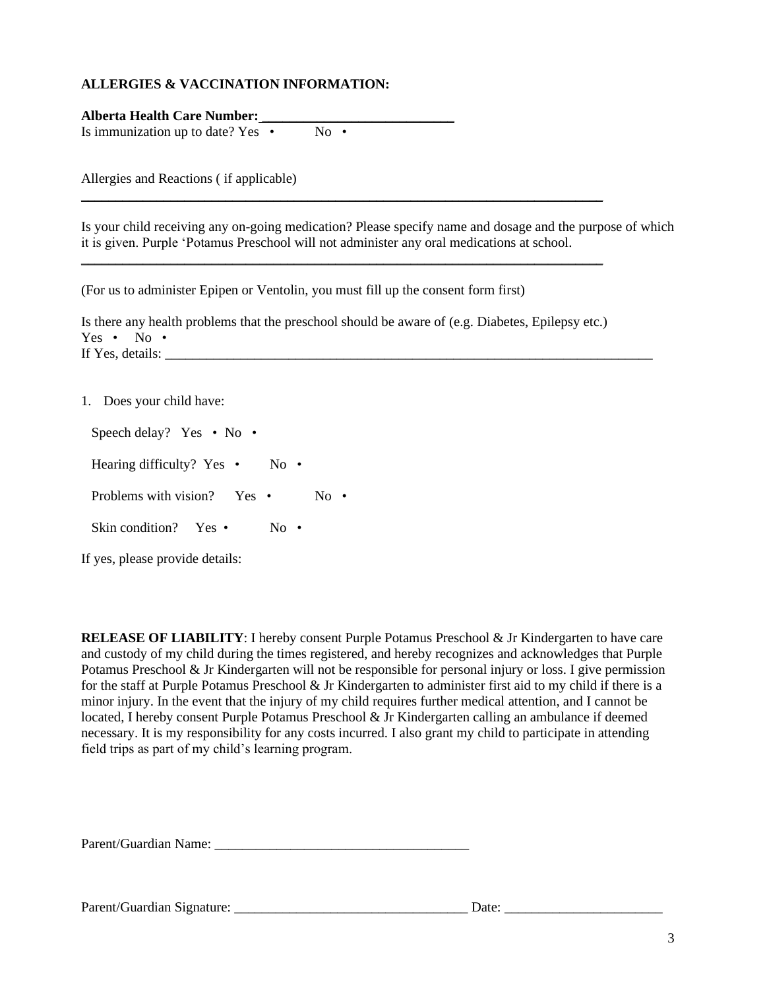#### **ALLERGIES & VACCINATION INFORMATION:**

**Alberta Health Care Number:** \_\_\_\_\_\_\_\_\_\_\_\_\_\_\_\_\_\_\_\_\_\_\_\_\_\_\_\_ Is immunization up to date? Yes  $\cdot$  No  $\cdot$ 

Allergies and Reactions ( if applicable)

Is your child receiving any on-going medication? Please specify name and dosage and the purpose of which it is given. Purple 'Potamus Preschool will not administer any oral medications at school.

(For us to administer Epipen or Ventolin, you must fill up the consent form first)

Is there any health problems that the preschool should be aware of (e.g. Diabetes, Epilepsy etc.) Yes • No • If Yes, details:  $\overline{a}$ 

\_\_\_\_\_\_\_\_\_\_\_\_\_\_\_\_\_\_\_\_\_\_\_\_\_\_\_\_\_\_\_\_\_\_\_\_\_\_\_\_\_\_\_\_\_\_\_\_\_\_\_\_\_\_\_\_\_\_\_\_\_\_\_\_\_\_\_\_\_\_\_\_\_\_\_\_

\_\_\_\_\_\_\_\_\_\_\_\_\_\_\_\_\_\_\_\_\_\_\_\_\_\_\_\_\_\_\_\_\_\_\_\_\_\_\_\_\_\_\_\_\_\_\_\_\_\_\_\_\_\_\_\_\_\_\_\_\_\_\_\_\_\_\_\_\_\_\_\_\_\_\_\_

1. Does your child have:

Speech delay? Yes • No • Hearing difficulty? Yes • No • Problems with vision? Yes • No • Skin condition? Yes • No •

If yes, please provide details:

**RELEASE OF LIABILITY**: I hereby consent Purple Potamus Preschool & Jr Kindergarten to have care and custody of my child during the times registered, and hereby recognizes and acknowledges that Purple Potamus Preschool & Jr Kindergarten will not be responsible for personal injury or loss. I give permission for the staff at Purple Potamus Preschool & Jr Kindergarten to administer first aid to my child if there is a minor injury. In the event that the injury of my child requires further medical attention, and I cannot be located, I hereby consent Purple Potamus Preschool & Jr Kindergarten calling an ambulance if deemed necessary. It is my responsibility for any costs incurred. I also grant my child to participate in attending field trips as part of my child's learning program.

Parent/Guardian Name: \_\_\_\_\_\_\_\_\_\_\_\_\_\_\_\_\_\_\_\_\_\_\_\_\_\_\_\_\_\_\_\_\_\_\_\_\_

Parent/Guardian Signature: \_\_\_\_\_\_\_\_\_\_\_\_\_\_\_\_\_\_\_\_\_\_\_\_\_\_\_\_\_\_\_\_\_\_ Date: \_\_\_\_\_\_\_\_\_\_\_\_\_\_\_\_\_\_\_\_\_\_\_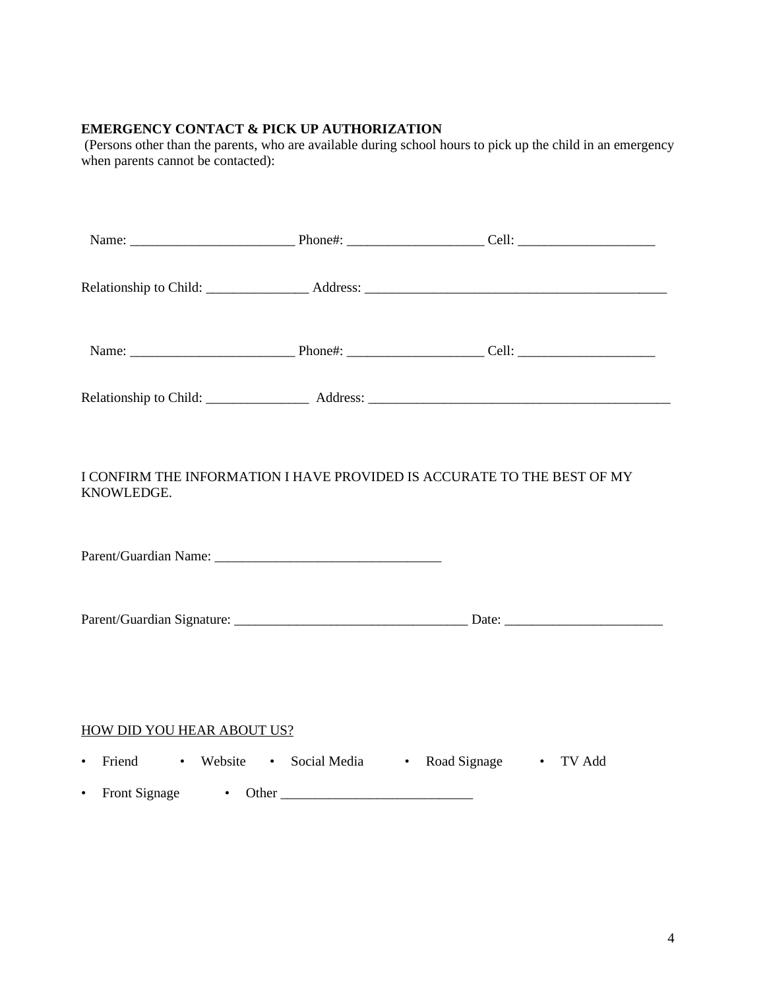## **EMERGENCY CONTACT & PICK UP AUTHORIZATION**

(Persons other than the parents, who are available during school hours to pick up the child in an emergency when parents cannot be contacted):

| I CONFIRM THE INFORMATION I HAVE PROVIDED IS ACCURATE TO THE BEST OF MY<br>KNOWLEDGE. |                                                         |  |
|---------------------------------------------------------------------------------------|---------------------------------------------------------|--|
|                                                                                       |                                                         |  |
|                                                                                       |                                                         |  |
| HOW DID YOU HEAR ABOUT US?                                                            |                                                         |  |
| $\bullet$                                                                             | Friend • Website • Social Media • Road Signage • TV Add |  |
|                                                                                       |                                                         |  |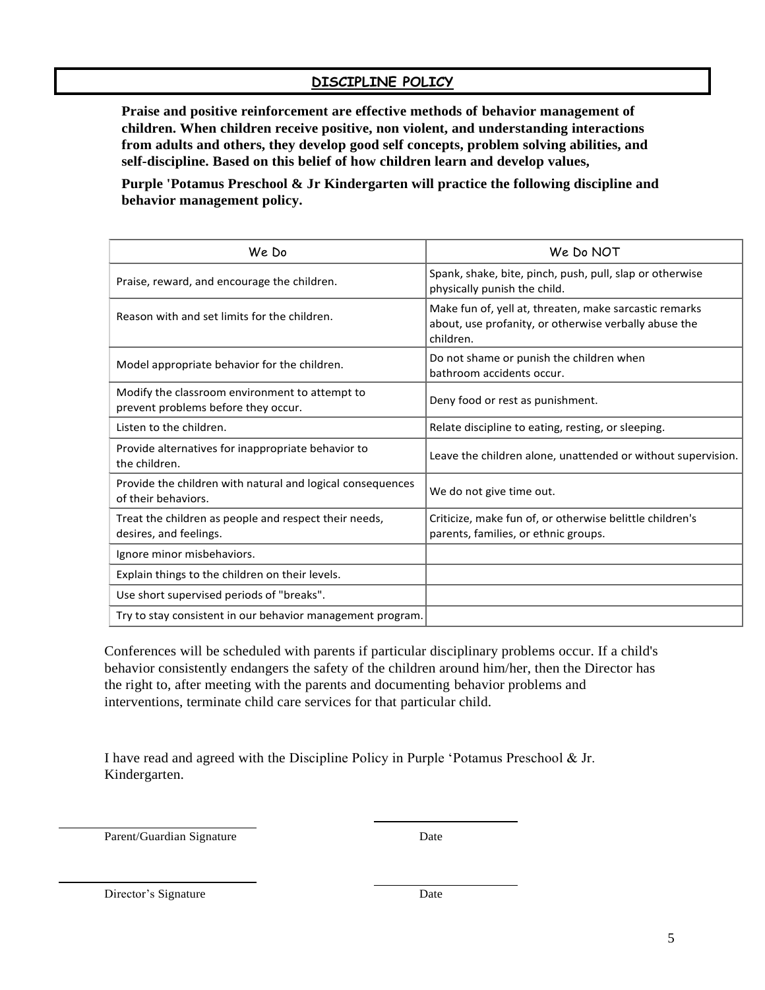## **DISCIPLINE POLICY**

**Praise and positive reinforcement are effective methods of behavior management of children. When children receive positive, non violent, and understanding interactions from adults and others, they develop good self concepts, problem solving abilities, and self-discipline. Based on this belief of how children learn and develop values,** 

**Purple 'Potamus Preschool & Jr Kindergarten will practice the following discipline and behavior management policy.**

| We Do                                                                                 | We Do NOT                                                                                                                    |
|---------------------------------------------------------------------------------------|------------------------------------------------------------------------------------------------------------------------------|
| Praise, reward, and encourage the children.                                           | Spank, shake, bite, pinch, push, pull, slap or otherwise<br>physically punish the child.                                     |
| Reason with and set limits for the children.                                          | Make fun of, yell at, threaten, make sarcastic remarks<br>about, use profanity, or otherwise verbally abuse the<br>children. |
| Model appropriate behavior for the children.                                          | Do not shame or punish the children when<br>bathroom accidents occur.                                                        |
| Modify the classroom environment to attempt to<br>prevent problems before they occur. | Deny food or rest as punishment.                                                                                             |
| Listen to the children.                                                               | Relate discipline to eating, resting, or sleeping.                                                                           |
| Provide alternatives for inappropriate behavior to<br>the children.                   | Leave the children alone, unattended or without supervision.                                                                 |
| Provide the children with natural and logical consequences<br>of their behaviors.     | We do not give time out.                                                                                                     |
| Treat the children as people and respect their needs,<br>desires, and feelings.       | Criticize, make fun of, or otherwise belittle children's<br>parents, families, or ethnic groups.                             |
| Ignore minor misbehaviors.                                                            |                                                                                                                              |
| Explain things to the children on their levels.                                       |                                                                                                                              |
| Use short supervised periods of "breaks".                                             |                                                                                                                              |
| Try to stay consistent in our behavior management program.                            |                                                                                                                              |

Conferences will be scheduled with parents if particular disciplinary problems occur. If a child's behavior consistently endangers the safety of the children around him/her, then the Director has the right to, after meeting with the parents and documenting behavior problems and interventions, terminate child care services for that particular child.

I have read and agreed with the Discipline Policy in Purple 'Potamus Preschool & Jr. Kindergarten.

Parent/Guardian Signature Date

Director's Signature Date